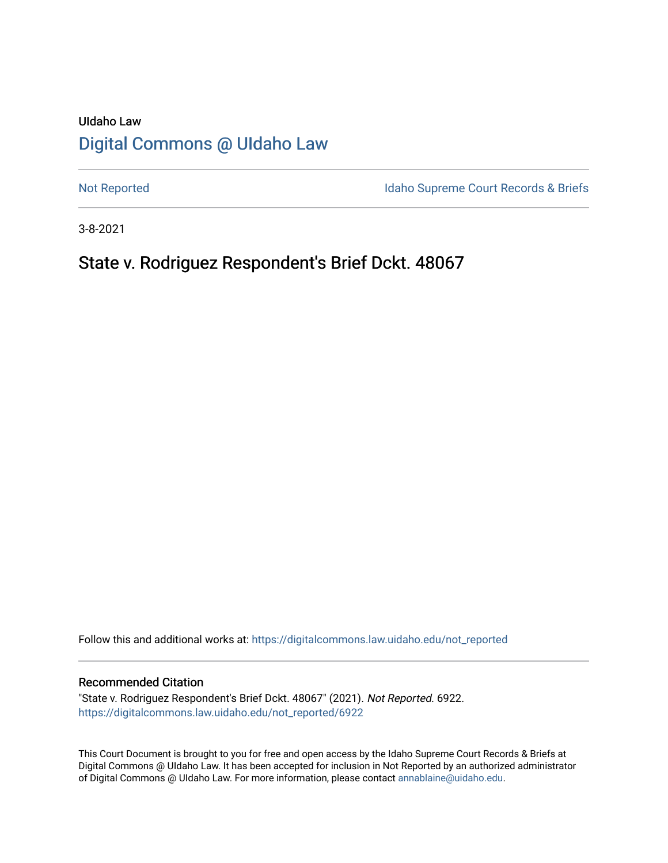# UIdaho Law [Digital Commons @ UIdaho Law](https://digitalcommons.law.uidaho.edu/)

[Not Reported](https://digitalcommons.law.uidaho.edu/not_reported) **Idaho Supreme Court Records & Briefs** 

3-8-2021

# State v. Rodriguez Respondent's Brief Dckt. 48067

Follow this and additional works at: [https://digitalcommons.law.uidaho.edu/not\\_reported](https://digitalcommons.law.uidaho.edu/not_reported?utm_source=digitalcommons.law.uidaho.edu%2Fnot_reported%2F6922&utm_medium=PDF&utm_campaign=PDFCoverPages) 

### Recommended Citation

"State v. Rodriguez Respondent's Brief Dckt. 48067" (2021). Not Reported. 6922. [https://digitalcommons.law.uidaho.edu/not\\_reported/6922](https://digitalcommons.law.uidaho.edu/not_reported/6922?utm_source=digitalcommons.law.uidaho.edu%2Fnot_reported%2F6922&utm_medium=PDF&utm_campaign=PDFCoverPages)

This Court Document is brought to you for free and open access by the Idaho Supreme Court Records & Briefs at Digital Commons @ UIdaho Law. It has been accepted for inclusion in Not Reported by an authorized administrator of Digital Commons @ UIdaho Law. For more information, please contact [annablaine@uidaho.edu](mailto:annablaine@uidaho.edu).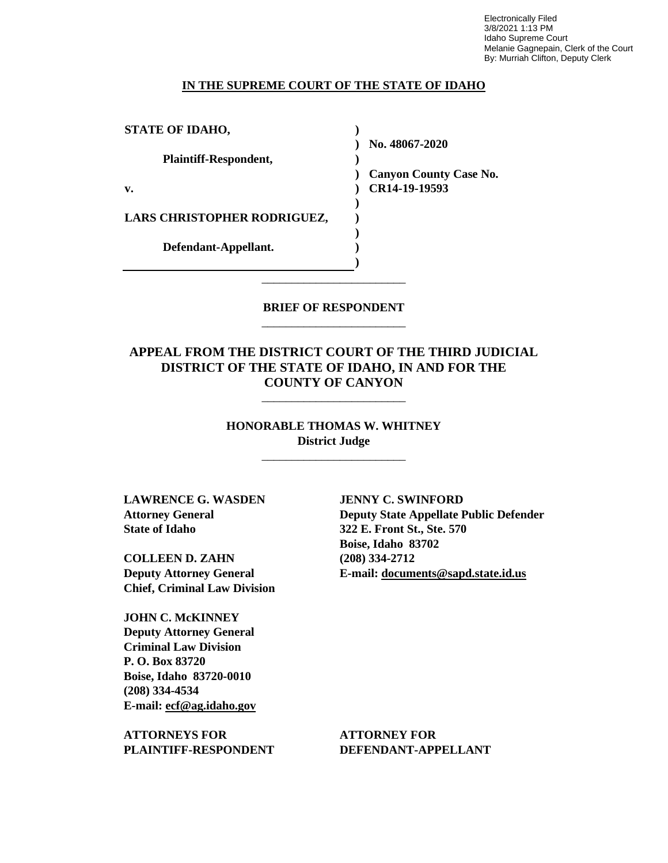Electronically Filed 3/8/2021 1:13 PM Idaho Supreme Court Melanie Gagnepain, Clerk of the Court By: Murriah Clifton, Deputy Clerk

#### **IN THE SUPREME COURT OF THE STATE OF IDAHO**

**)**

**) ) ) ) )**

**STATE OF IDAHO,**

**Plaintiff-Respondent,**

**v.** 

**) ) Canyon County Case No.** 

**) No. 48067-2020** 

**) CR14-19-19593** 

**LARS CHRISTOPHER RODRIGUEZ,** 

**Defendant-Appellant.**

## **BRIEF OF RESPONDENT** \_\_\_\_\_\_\_\_\_\_\_\_\_\_\_\_\_\_\_\_\_\_\_\_

\_\_\_\_\_\_\_\_\_\_\_\_\_\_\_\_\_\_\_\_\_\_\_\_

**APPEAL FROM THE DISTRICT COURT OF THE THIRD JUDICIAL DISTRICT OF THE STATE OF IDAHO, IN AND FOR THE COUNTY OF CANYON**

> **HONORABLE THOMAS W. WHITNEY District Judge**

> > \_\_\_\_\_\_\_\_\_\_\_\_\_\_\_\_\_\_\_\_\_\_\_\_

\_\_\_\_\_\_\_\_\_\_\_\_\_\_\_\_\_\_\_\_\_\_\_\_

**LAWRENCE G. WASDEN Attorney General State of Idaho**

**COLLEEN D. ZAHN Deputy Attorney General Chief, Criminal Law Division**

**JOHN C. McKINNEY Deputy Attorney General Criminal Law Division P. O. Box 83720 Boise, Idaho 83720-0010 (208) 334-4534 E-mail: ecf@ag.idaho.gov** 

**ATTORNEYS FOR PLAINTIFF-RESPONDENT** **JENNY C. SWINFORD Deputy State Appellate Public Defender 322 E. Front St., Ste. 570 Boise, Idaho 83702 (208) 334-2712 E-mail: documents@sapd.state.id.us** 

**ATTORNEY FOR DEFENDANT-APPELLANT**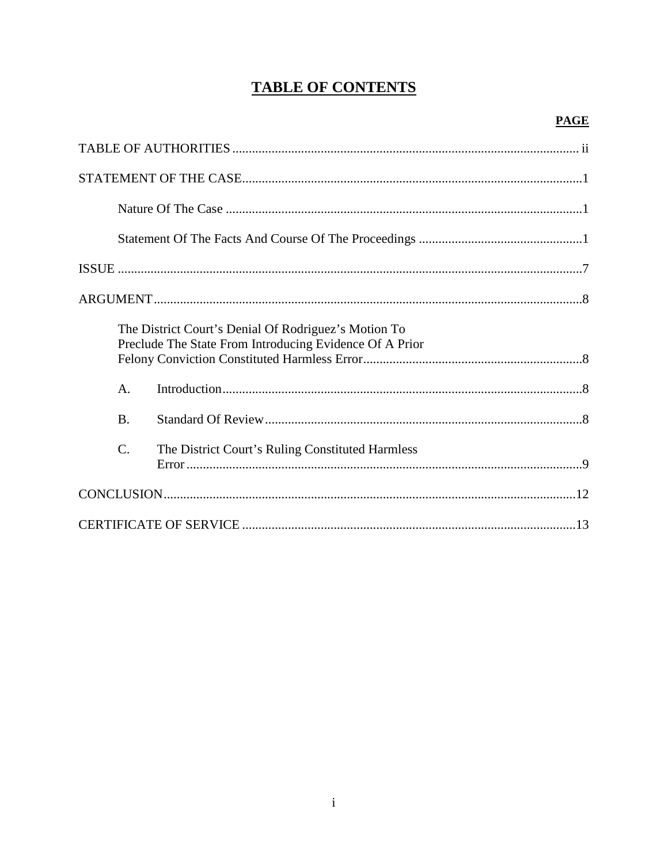# **TABLE OF CONTENTS**

|  |                 | The District Court's Denial Of Rodriguez's Motion To<br>Preclude The State From Introducing Evidence Of A Prior |  |
|--|-----------------|-----------------------------------------------------------------------------------------------------------------|--|
|  | $\mathsf{A}$ .  |                                                                                                                 |  |
|  | <b>B.</b>       |                                                                                                                 |  |
|  | $\mathcal{C}$ . | The District Court's Ruling Constituted Harmless                                                                |  |
|  |                 |                                                                                                                 |  |
|  |                 |                                                                                                                 |  |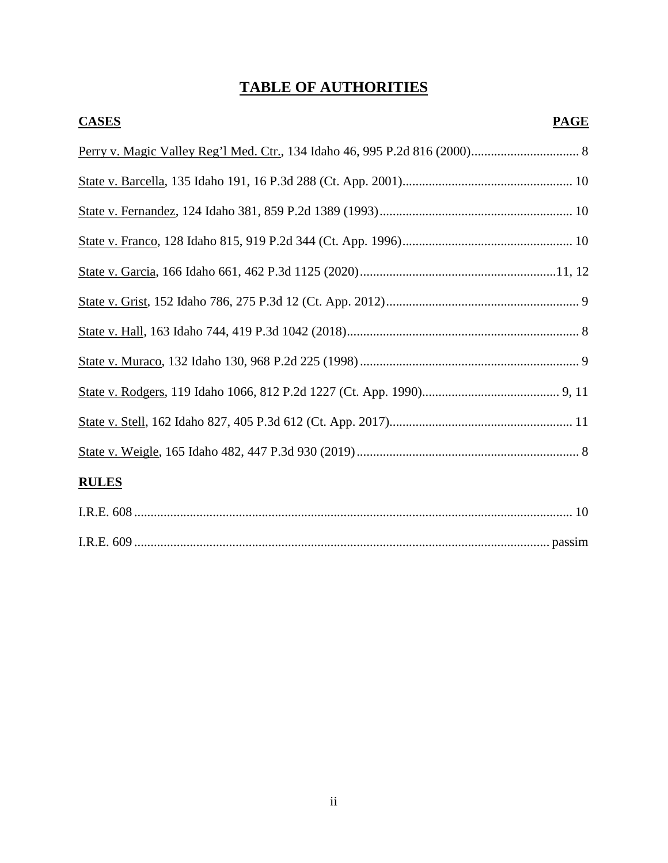# **TABLE OF AUTHORITIES**

| <b>CASES</b><br><b>PAGE</b> |  |
|-----------------------------|--|
|                             |  |
|                             |  |
|                             |  |
|                             |  |
|                             |  |
|                             |  |
|                             |  |
|                             |  |
|                             |  |
|                             |  |
|                             |  |
| <b>RULES</b>                |  |
|                             |  |
|                             |  |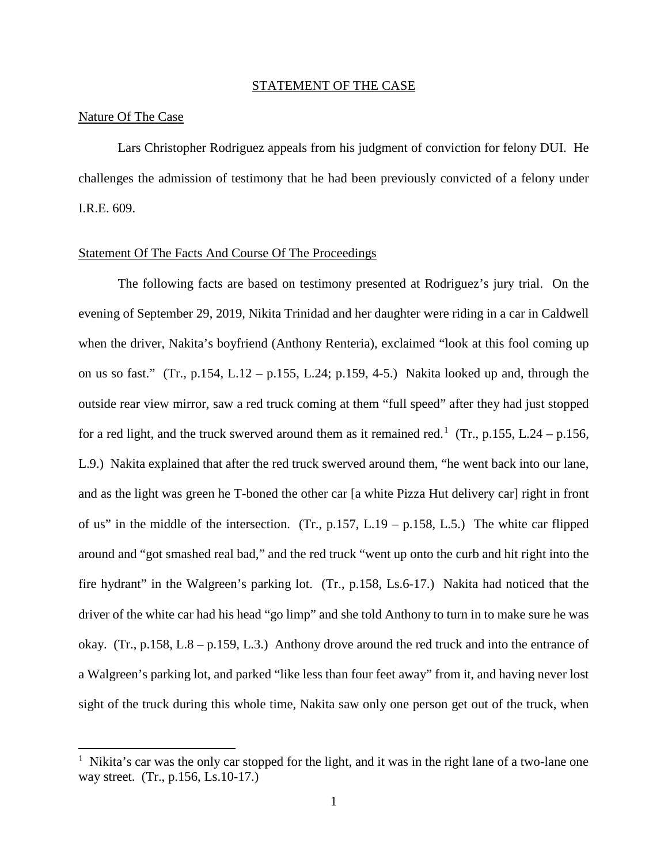#### STATEMENT OF THE CASE

### Nature Of The Case

 $\overline{a}$ 

Lars Christopher Rodriguez appeals from his judgment of conviction for felony DUI. He challenges the admission of testimony that he had been previously convicted of a felony under I.R.E. 609.

### Statement Of The Facts And Course Of The Proceedings

The following facts are based on testimony presented at Rodriguez's jury trial. On the evening of September 29, 2019, Nikita Trinidad and her daughter were riding in a car in Caldwell when the driver, Nakita's boyfriend (Anthony Renteria), exclaimed "look at this fool coming up on us so fast." (Tr., p.154, L.12 – p.155, L.24; p.159, 4-5.) Nakita looked up and, through the outside rear view mirror, saw a red truck coming at them "full speed" after they had just stopped for a red light, and the truck swerved around them as it remained red.<sup>[1](#page-4-0)</sup> (Tr., p.155, L.24 – p.156, L.9.) Nakita explained that after the red truck swerved around them, "he went back into our lane, and as the light was green he T-boned the other car [a white Pizza Hut delivery car] right in front of us" in the middle of the intersection. (Tr.,  $p.157$ , L.19 –  $p.158$ , L.5.) The white car flipped around and "got smashed real bad," and the red truck "went up onto the curb and hit right into the fire hydrant" in the Walgreen's parking lot. (Tr., p.158, Ls.6-17.) Nakita had noticed that the driver of the white car had his head "go limp" and she told Anthony to turn in to make sure he was okay. (Tr., p.158, L.8 – p.159, L.3.) Anthony drove around the red truck and into the entrance of a Walgreen's parking lot, and parked "like less than four feet away" from it, and having never lost sight of the truck during this whole time, Nakita saw only one person get out of the truck, when

<span id="page-4-0"></span><sup>&</sup>lt;sup>1</sup> Nikita's car was the only car stopped for the light, and it was in the right lane of a two-lane one way street. (Tr., p.156, Ls.10-17.)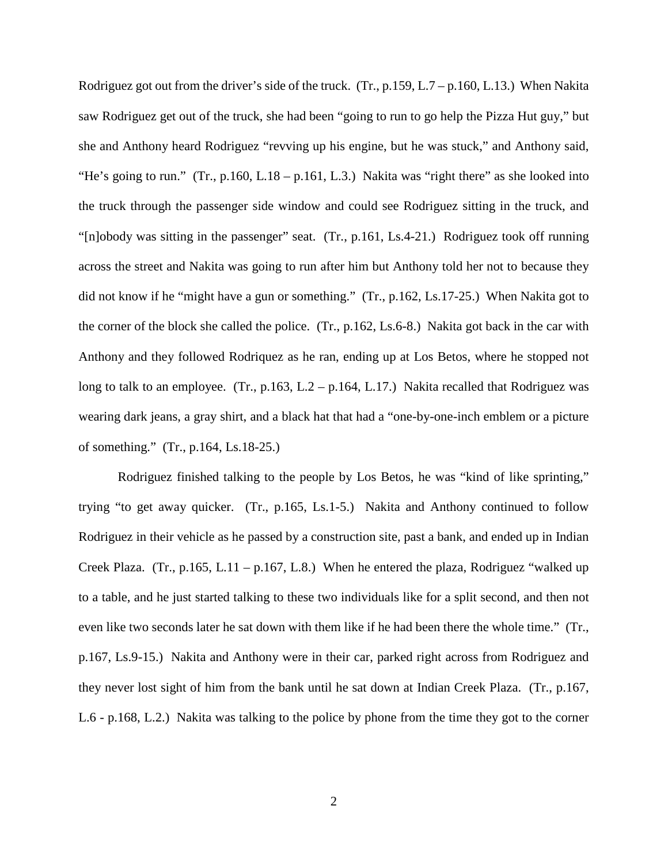Rodriguez got out from the driver's side of the truck. (Tr., p.159, L.7 – p.160, L.13.) When Nakita saw Rodriguez get out of the truck, she had been "going to run to go help the Pizza Hut guy," but she and Anthony heard Rodriguez "revving up his engine, but he was stuck," and Anthony said, "He's going to run." (Tr., p.160, L.18 – p.161, L.3.) Nakita was "right there" as she looked into the truck through the passenger side window and could see Rodriguez sitting in the truck, and "[n]obody was sitting in the passenger" seat. (Tr., p.161, Ls.4-21.) Rodriguez took off running across the street and Nakita was going to run after him but Anthony told her not to because they did not know if he "might have a gun or something." (Tr., p.162, Ls.17-25.) When Nakita got to the corner of the block she called the police. (Tr., p.162, Ls.6-8.) Nakita got back in the car with Anthony and they followed Rodriquez as he ran, ending up at Los Betos, where he stopped not long to talk to an employee. (Tr., p.163, L.2 – p.164, L.17.) Nakita recalled that Rodriguez was wearing dark jeans, a gray shirt, and a black hat that had a "one-by-one-inch emblem or a picture of something." (Tr., p.164, Ls.18-25.)

Rodriguez finished talking to the people by Los Betos, he was "kind of like sprinting," trying "to get away quicker. (Tr., p.165, Ls.1-5.) Nakita and Anthony continued to follow Rodriguez in their vehicle as he passed by a construction site, past a bank, and ended up in Indian Creek Plaza. (Tr., p.165, L.11 – p.167, L.8.) When he entered the plaza, Rodriguez "walked up to a table, and he just started talking to these two individuals like for a split second, and then not even like two seconds later he sat down with them like if he had been there the whole time." (Tr., p.167, Ls.9-15.) Nakita and Anthony were in their car, parked right across from Rodriguez and they never lost sight of him from the bank until he sat down at Indian Creek Plaza. (Tr., p.167, L.6 - p.168, L.2.) Nakita was talking to the police by phone from the time they got to the corner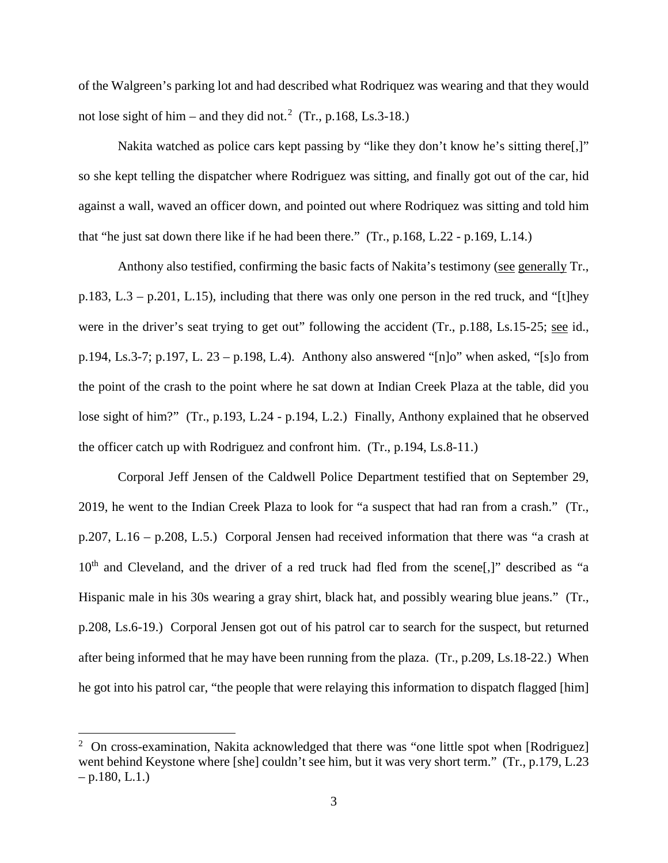of the Walgreen's parking lot and had described what Rodriquez was wearing and that they would not lose sight of him – and they did not.<sup>[2](#page-6-0)</sup> (Tr., p.168, Ls.3-18.)

Nakita watched as police cars kept passing by "like they don't know he's sitting there[,]" so she kept telling the dispatcher where Rodriguez was sitting, and finally got out of the car, hid against a wall, waved an officer down, and pointed out where Rodriquez was sitting and told him that "he just sat down there like if he had been there." (Tr., p.168, L.22 - p.169, L.14.)

Anthony also testified, confirming the basic facts of Nakita's testimony (see generally Tr., p.183, L.3 – p.201, L.15), including that there was only one person in the red truck, and "[t]hey were in the driver's seat trying to get out" following the accident (Tr., p.188, Ls.15-25; see id., p.194, Ls.3-7; p.197, L. 23 – p.198, L.4). Anthony also answered "[n]o" when asked, "[s]o from the point of the crash to the point where he sat down at Indian Creek Plaza at the table, did you lose sight of him?" (Tr., p.193, L.24 - p.194, L.2.) Finally, Anthony explained that he observed the officer catch up with Rodriguez and confront him. (Tr., p.194, Ls.8-11.)

Corporal Jeff Jensen of the Caldwell Police Department testified that on September 29, 2019, he went to the Indian Creek Plaza to look for "a suspect that had ran from a crash." (Tr., p.207, L.16 – p.208, L.5.) Corporal Jensen had received information that there was "a crash at  $10<sup>th</sup>$  and Cleveland, and the driver of a red truck had fled from the scene[,]" described as "a Hispanic male in his 30s wearing a gray shirt, black hat, and possibly wearing blue jeans." (Tr., p.208, Ls.6-19.) Corporal Jensen got out of his patrol car to search for the suspect, but returned after being informed that he may have been running from the plaza. (Tr., p.209, Ls.18-22.) When he got into his patrol car, "the people that were relaying this information to dispatch flagged [him]

l

<span id="page-6-0"></span><sup>&</sup>lt;sup>2</sup> On cross-examination, Nakita acknowledged that there was "one little spot when [Rodriguez] went behind Keystone where [she] couldn't see him, but it was very short term." (Tr., p.179, L.23  $-$  p.180, L.1.)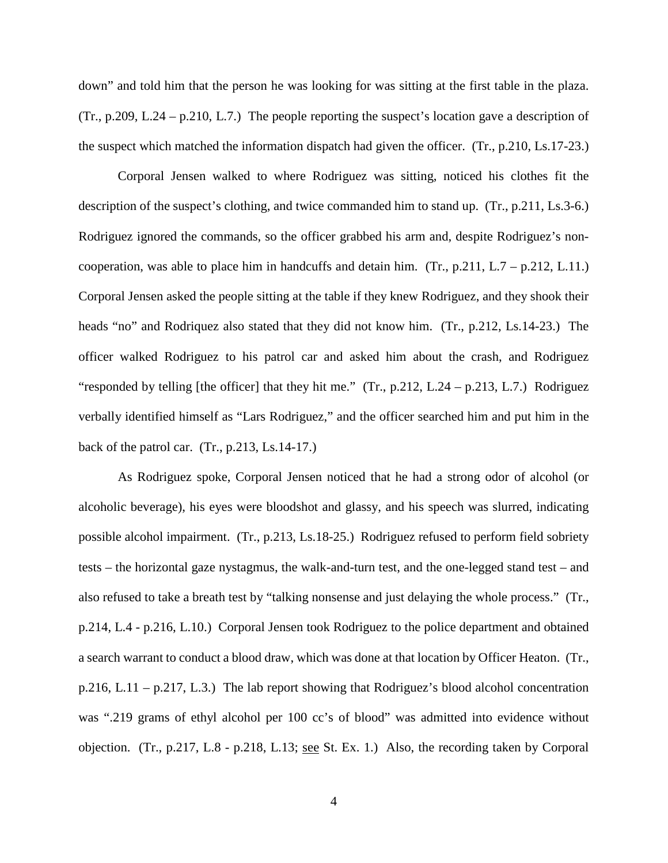down" and told him that the person he was looking for was sitting at the first table in the plaza. (Tr., p.209, L.24 – p.210, L.7.) The people reporting the suspect's location gave a description of the suspect which matched the information dispatch had given the officer. (Tr., p.210, Ls.17-23.)

Corporal Jensen walked to where Rodriguez was sitting, noticed his clothes fit the description of the suspect's clothing, and twice commanded him to stand up. (Tr., p.211, Ls.3-6.) Rodriguez ignored the commands, so the officer grabbed his arm and, despite Rodriguez's noncooperation, was able to place him in handcuffs and detain him. (Tr., p.211, L.7 – p.212, L.11.) Corporal Jensen asked the people sitting at the table if they knew Rodriguez, and they shook their heads "no" and Rodriquez also stated that they did not know him. (Tr., p.212, Ls.14-23.) The officer walked Rodriguez to his patrol car and asked him about the crash, and Rodriguez "responded by telling [the officer] that they hit me." (Tr., p.212, L.24 – p.213, L.7.) Rodriguez verbally identified himself as "Lars Rodriguez," and the officer searched him and put him in the back of the patrol car. (Tr., p.213, Ls.14-17.)

As Rodriguez spoke, Corporal Jensen noticed that he had a strong odor of alcohol (or alcoholic beverage), his eyes were bloodshot and glassy, and his speech was slurred, indicating possible alcohol impairment. (Tr., p.213, Ls.18-25.) Rodriguez refused to perform field sobriety tests – the horizontal gaze nystagmus, the walk-and-turn test, and the one-legged stand test – and also refused to take a breath test by "talking nonsense and just delaying the whole process." (Tr., p.214, L.4 - p.216, L.10.) Corporal Jensen took Rodriguez to the police department and obtained a search warrant to conduct a blood draw, which was done at that location by Officer Heaton. (Tr.,  $p.216$ , L.11 –  $p.217$ , L.3.) The lab report showing that Rodriguez's blood alcohol concentration was ".219 grams of ethyl alcohol per 100 cc's of blood" was admitted into evidence without objection. (Tr., p.217, L.8 - p.218, L.13; <u>see</u> St. Ex. 1.) Also, the recording taken by Corporal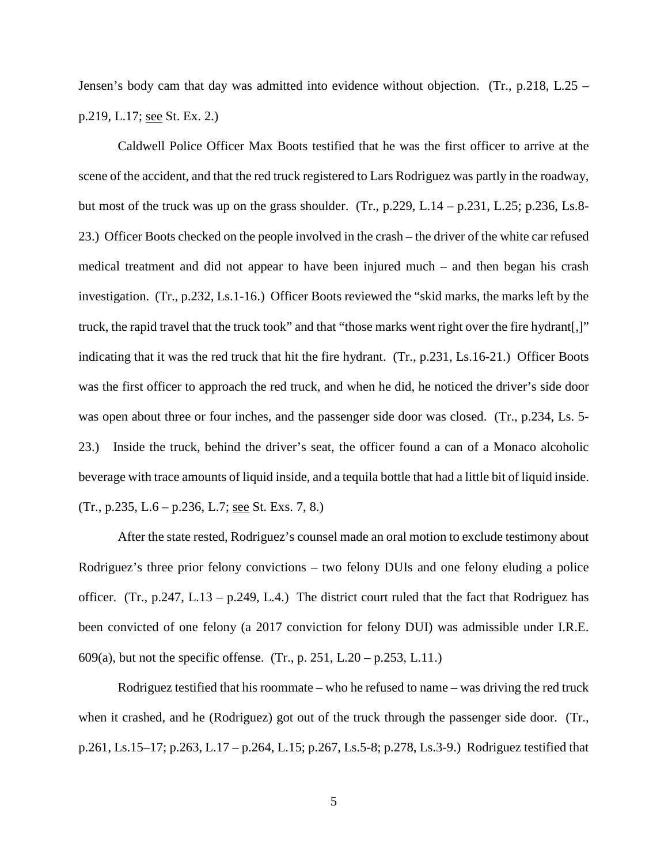Jensen's body cam that day was admitted into evidence without objection. (Tr., p.218, L.25 – p.219, L.17; see St. Ex. 2.)

Caldwell Police Officer Max Boots testified that he was the first officer to arrive at the scene of the accident, and that the red truck registered to Lars Rodriguez was partly in the roadway, but most of the truck was up on the grass shoulder. (Tr.,  $p.229$ , L.14 –  $p.231$ , L.25;  $p.236$ , Ls.8-23.) Officer Boots checked on the people involved in the crash – the driver of the white car refused medical treatment and did not appear to have been injured much – and then began his crash investigation. (Tr., p.232, Ls.1-16.) Officer Boots reviewed the "skid marks, the marks left by the truck, the rapid travel that the truck took" and that "those marks went right over the fire hydrant[,]" indicating that it was the red truck that hit the fire hydrant. (Tr., p.231, Ls.16-21.) Officer Boots was the first officer to approach the red truck, and when he did, he noticed the driver's side door was open about three or four inches, and the passenger side door was closed. (Tr., p.234, Ls. 5-23.) Inside the truck, behind the driver's seat, the officer found a can of a Monaco alcoholic beverage with trace amounts of liquid inside, and a tequila bottle that had a little bit of liquid inside. (Tr., p.235, L.6 – p.236, L.7; see St. Exs. 7, 8.)

After the state rested, Rodriguez's counsel made an oral motion to exclude testimony about Rodriguez's three prior felony convictions – two felony DUIs and one felony eluding a police officer. (Tr., p.247, L.13 – p.249, L.4.) The district court ruled that the fact that Rodriguez has been convicted of one felony (a 2017 conviction for felony DUI) was admissible under I.R.E. 609(a), but not the specific offense. (Tr., p. 251, L.20 – p.253, L.11.)

Rodriguez testified that his roommate – who he refused to name – was driving the red truck when it crashed, and he (Rodriguez) got out of the truck through the passenger side door. (Tr., p.261, Ls.15–17; p.263, L.17 – p.264, L.15; p.267, Ls.5-8; p.278, Ls.3-9.) Rodriguez testified that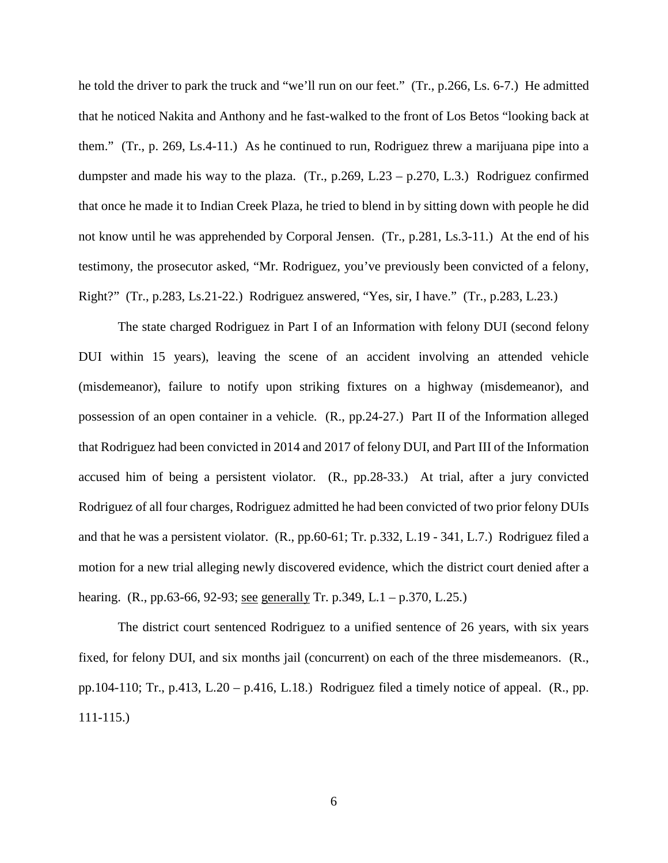he told the driver to park the truck and "we'll run on our feet." (Tr., p.266, Ls. 6-7.) He admitted that he noticed Nakita and Anthony and he fast-walked to the front of Los Betos "looking back at them." (Tr., p. 269, Ls.4-11.) As he continued to run, Rodriguez threw a marijuana pipe into a dumpster and made his way to the plaza.  $(Tr, p.269, L.23 - p.270, L.3)$  Rodriguez confirmed that once he made it to Indian Creek Plaza, he tried to blend in by sitting down with people he did not know until he was apprehended by Corporal Jensen. (Tr., p.281, Ls.3-11.) At the end of his testimony, the prosecutor asked, "Mr. Rodriguez, you've previously been convicted of a felony, Right?" (Tr., p.283, Ls.21-22.) Rodriguez answered, "Yes, sir, I have." (Tr., p.283, L.23.)

The state charged Rodriguez in Part I of an Information with felony DUI (second felony DUI within 15 years), leaving the scene of an accident involving an attended vehicle (misdemeanor), failure to notify upon striking fixtures on a highway (misdemeanor), and possession of an open container in a vehicle. (R., pp.24-27.) Part II of the Information alleged that Rodriguez had been convicted in 2014 and 2017 of felony DUI, and Part III of the Information accused him of being a persistent violator. (R., pp.28-33.) At trial, after a jury convicted Rodriguez of all four charges, Rodriguez admitted he had been convicted of two prior felony DUIs and that he was a persistent violator. (R., pp.60-61; Tr. p.332, L.19 - 341, L.7.) Rodriguez filed a motion for a new trial alleging newly discovered evidence, which the district court denied after a hearing. (R., pp.63-66, 92-93; <u>see generally</u> Tr. p.349, L.1 – p.370, L.25.)

The district court sentenced Rodriguez to a unified sentence of 26 years, with six years fixed, for felony DUI, and six months jail (concurrent) on each of the three misdemeanors. (R., pp.104-110; Tr., p.413, L.20 – p.416, L.18.) Rodriguez filed a timely notice of appeal. (R., pp. 111-115.)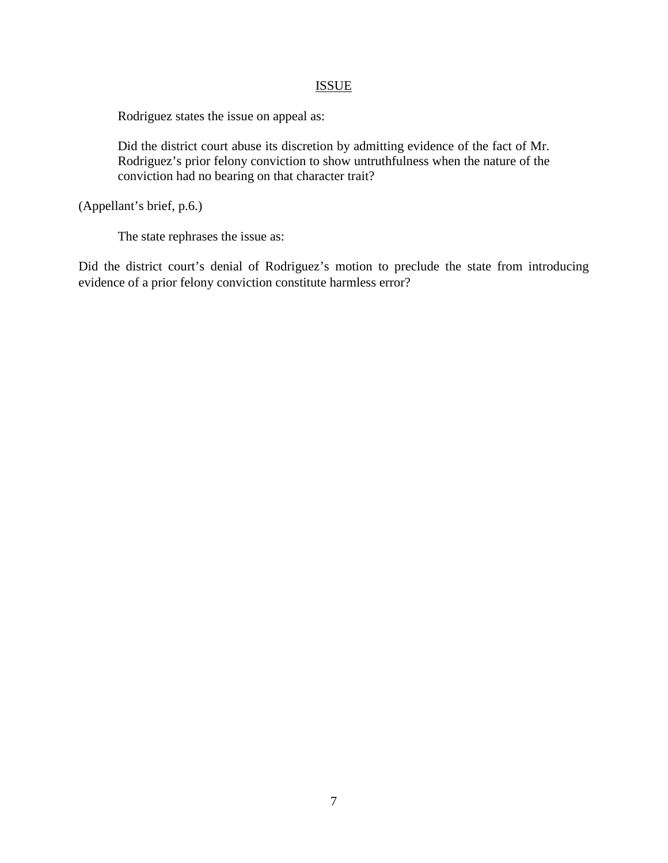## **ISSUE**

Rodriguez states the issue on appeal as:

Did the district court abuse its discretion by admitting evidence of the fact of Mr. Rodriguez's prior felony conviction to show untruthfulness when the nature of the conviction had no bearing on that character trait?

(Appellant's brief, p.6.)

The state rephrases the issue as:

Did the district court's denial of Rodriguez's motion to preclude the state from introducing evidence of a prior felony conviction constitute harmless error?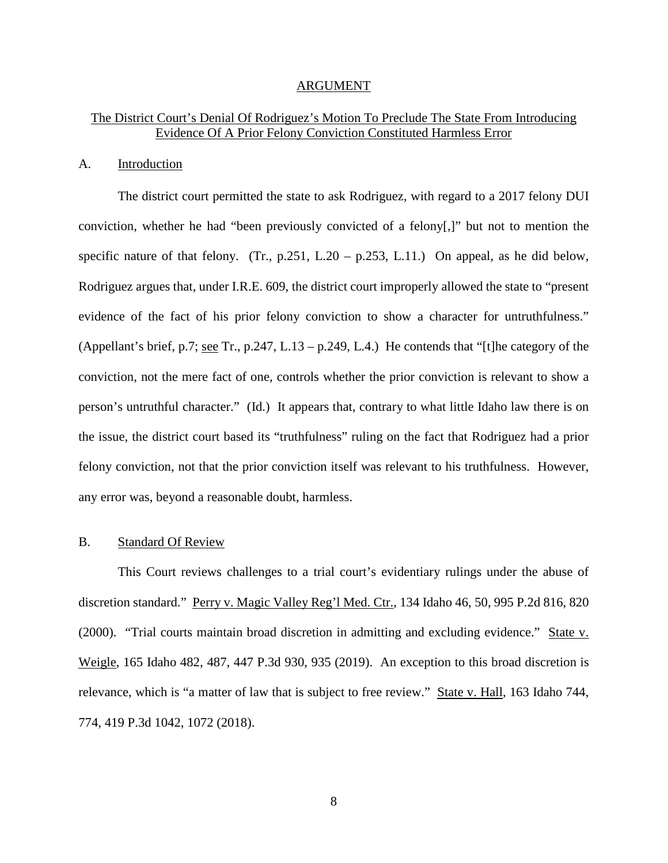#### ARGUMENT

## The District Court's Denial Of Rodriguez's Motion To Preclude The State From Introducing Evidence Of A Prior Felony Conviction Constituted Harmless Error

#### A. Introduction

The district court permitted the state to ask Rodriguez, with regard to a 2017 felony DUI conviction, whether he had "been previously convicted of a felony[,]" but not to mention the specific nature of that felony. (Tr., p.251, L.20 – p.253, L.11.) On appeal, as he did below, Rodriguez argues that, under I.R.E. 609, the district court improperly allowed the state to "present evidence of the fact of his prior felony conviction to show a character for untruthfulness." (Appellant's brief, p.7; see Tr., p.247, L.13 – p.249, L.4.) He contends that "[t]he category of the conviction, not the mere fact of one, controls whether the prior conviction is relevant to show a person's untruthful character." (Id.) It appears that, contrary to what little Idaho law there is on the issue, the district court based its "truthfulness" ruling on the fact that Rodriguez had a prior felony conviction, not that the prior conviction itself was relevant to his truthfulness. However, any error was, beyond a reasonable doubt, harmless.

### B. Standard Of Review

This Court reviews challenges to a trial court's evidentiary rulings under the abuse of discretion standard." Perry v. Magic Valley Reg'l Med. Ctr., 134 Idaho 46, 50, 995 P.2d 816, 820 (2000). "Trial courts maintain broad discretion in admitting and excluding evidence." State v. Weigle, 165 Idaho 482, 487, 447 P.3d 930, 935 (2019). An exception to this broad discretion is relevance, which is "a matter of law that is subject to free review." State v. Hall, 163 Idaho 744, 774, 419 P.3d 1042, 1072 (2018).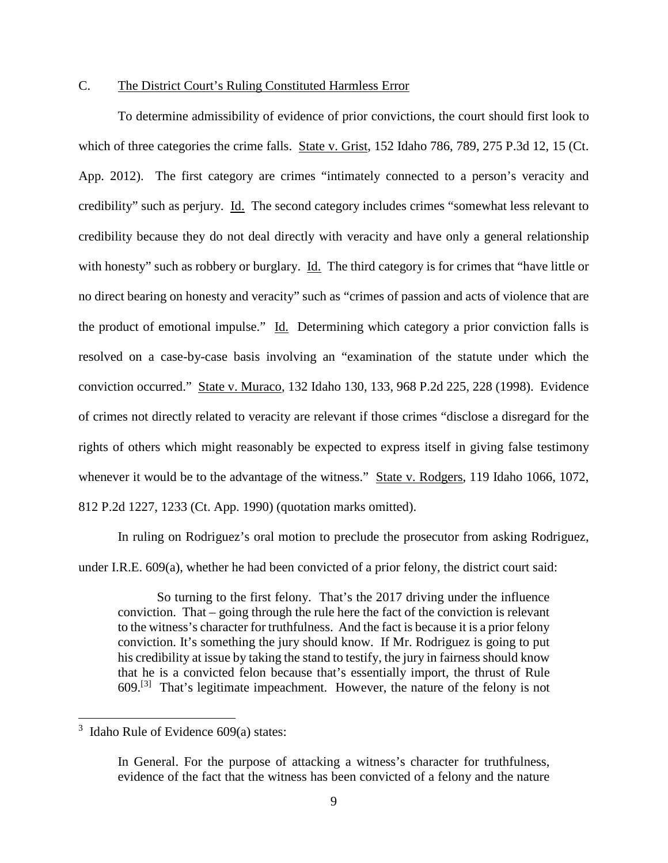## C. The District Court's Ruling Constituted Harmless Error

To determine admissibility of evidence of prior convictions, the court should first look to which of three categories the crime falls. State v. Grist, 152 Idaho 786, 789, 275 P.3d 12, 15 (Ct. App. 2012). The first category are crimes "intimately connected to a person's veracity and credibility" such as perjury. Id. The second category includes crimes "somewhat less relevant to credibility because they do not deal directly with veracity and have only a general relationship with honesty" such as robbery or burglary. Id. The third category is for crimes that "have little or no direct bearing on honesty and veracity" such as "crimes of passion and acts of violence that are the product of emotional impulse." Id. Determining which category a prior conviction falls is resolved on a case-by-case basis involving an "examination of the statute under which the conviction occurred." State v. Muraco, 132 Idaho 130, 133, 968 P.2d 225, 228 (1998). Evidence of crimes not directly related to veracity are relevant if those crimes "disclose a disregard for the rights of others which might reasonably be expected to express itself in giving false testimony whenever it would be to the advantage of the witness." State v. Rodgers, 119 Idaho 1066, 1072, 812 P.2d 1227, 1233 (Ct. App. 1990) (quotation marks omitted).

In ruling on Rodriguez's oral motion to preclude the prosecutor from asking Rodriguez, under I.R.E. 609(a), whether he had been convicted of a prior felony, the district court said:

So turning to the first felony. That's the 2017 driving under the influence conviction. That – going through the rule here the fact of the conviction is relevant to the witness's character for truthfulness. And the fact is because it is a prior felony conviction. It's something the jury should know. If Mr. Rodriguez is going to put his credibility at issue by taking the stand to testify, the jury in fairness should know that he is a convicted felon because that's essentially import, the thrust of Rule  $609$ .<sup>[[3](#page-12-0)]</sup> That's legitimate impeachment. However, the nature of the felony is not

l

<span id="page-12-0"></span> $3$  Idaho Rule of Evidence 609(a) states:

In General. For the purpose of attacking a witness's character for truthfulness, evidence of the fact that the witness has been convicted of a felony and the nature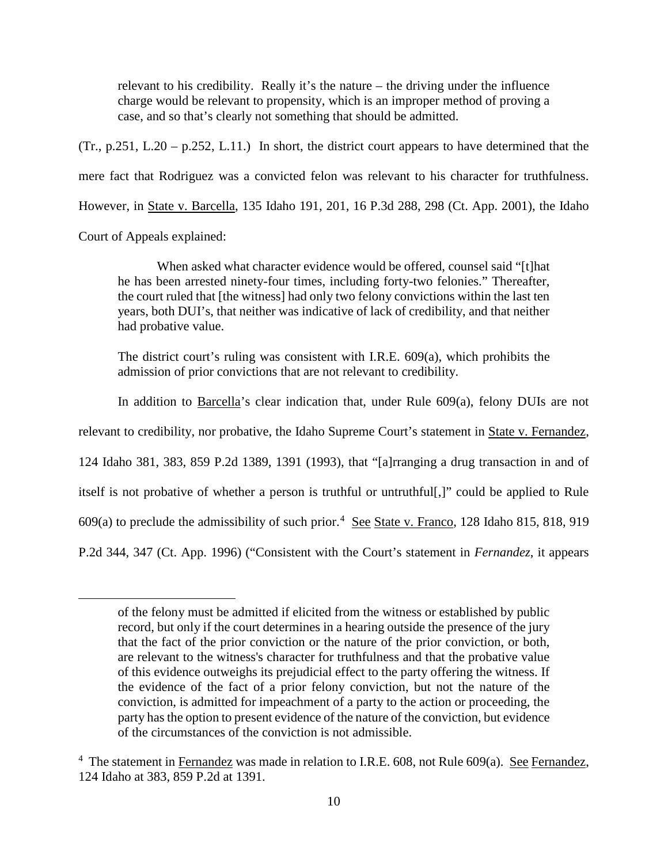relevant to his credibility. Really it's the nature – the driving under the influence charge would be relevant to propensity, which is an improper method of proving a case, and so that's clearly not something that should be admitted.

(Tr., p.251, L.20 – p.252, L.11.) In short, the district court appears to have determined that the mere fact that Rodriguez was a convicted felon was relevant to his character for truthfulness. However, in State v. Barcella, 135 Idaho 191, 201, 16 P.3d 288, 298 (Ct. App. 2001), the Idaho

Court of Appeals explained:

 $\overline{a}$ 

When asked what character evidence would be offered, counsel said "[t]hat he has been arrested ninety-four times, including forty-two felonies." Thereafter, the court ruled that [the witness] had only two felony convictions within the last ten years, both DUI's, that neither was indicative of lack of credibility, and that neither had probative value.

The district court's ruling was consistent with I.R.E. 609(a), which prohibits the admission of prior convictions that are not relevant to credibility.

In addition to Barcella's clear indication that, under Rule 609(a), felony DUIs are not

relevant to credibility, nor probative, the Idaho Supreme Court's statement in State v. Fernandez,

124 Idaho 381, 383, 859 P.2d 1389, 1391 (1993), that "[a]rranging a drug transaction in and of

itself is not probative of whether a person is truthful or untruthful<sup>[1]</sup>. could be applied to Rule

609(a) to preclude the admissibility of such prior.<sup>[4](#page-13-0)</sup> See State v. Franco, 128 Idaho 815, 818, 919

P.2d 344, 347 (Ct. App. 1996) ("Consistent with the Court's statement in *Fernandez*, it appears

of the felony must be admitted if elicited from the witness or established by public record, but only if the court determines in a hearing outside the presence of the jury that the fact of the prior conviction or the nature of the prior conviction, or both, are relevant to the witness's character for truthfulness and that the probative value of this evidence outweighs its prejudicial effect to the party offering the witness. If the evidence of the fact of a prior felony conviction, but not the nature of the conviction, is admitted for impeachment of a party to the action or proceeding, the party has the option to present evidence of the nature of the conviction, but evidence of the circumstances of the conviction is not admissible.

<span id="page-13-0"></span><sup>&</sup>lt;sup>4</sup> The statement in Fernandez was made in relation to I.R.E. 608, not Rule 609(a). See Fernandez, 124 Idaho at 383, 859 P.2d at 1391.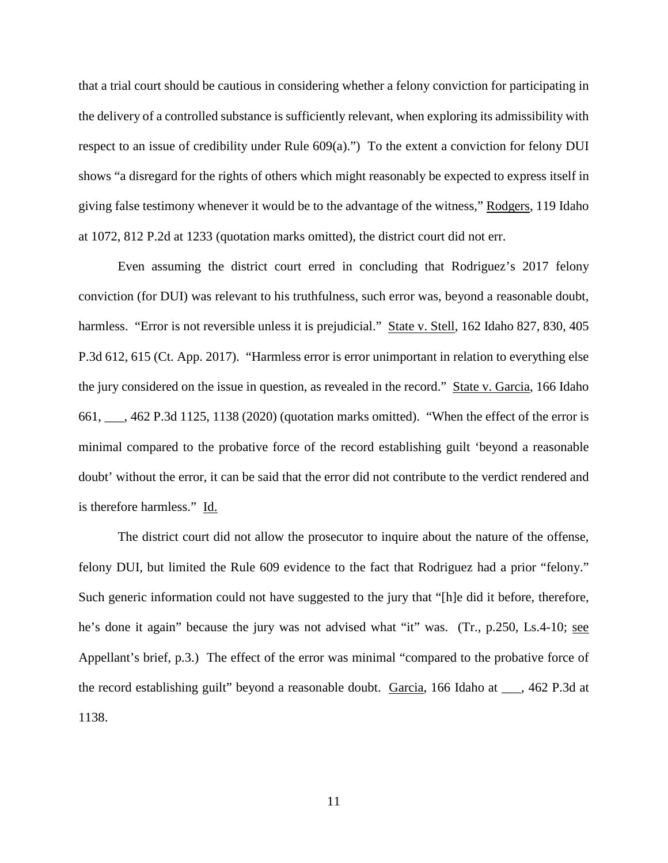that a trial court should be cautious in considering whether a felony conviction for participating in the delivery of a controlled substance is sufficiently relevant, when exploring its admissibility with respect to an issue of credibility under Rule  $609(a)$ .") To the extent a conviction for felony DUI shows "a disregard for the rights of others which might reasonably be expected to express itself in giving false testimony whenever it would be to the advantage of the witness," Rodgers, 119 Idaho at 1072, 812 P.2d at 1233 (quotation marks omitted), the district court did not err.

Even assuming the district court erred in concluding that Rodriguez's 2017 felony conviction (for DUI) was relevant to his truthfulness, such error was, beyond a reasonable doubt, harmless. "Error is not reversible unless it is prejudicial." State v. Stell, 162 Idaho 827, 830, 405 P.3d 612, 615 (Ct. App. 2017). "Harmless error is error unimportant in relation to everything else the jury considered on the issue in question, as revealed in the record." State v. Garcia, 166 Idaho 661, \_\_\_, 462 P.3d 1125, 1138 (2020) (quotation marks omitted). "When the effect of the error is minimal compared to the probative force of the record establishing guilt 'beyond a reasonable doubt' without the error, it can be said that the error did not contribute to the verdict rendered and is therefore harmless." Id.

The district court did not allow the prosecutor to inquire about the nature of the offense, felony DUI, but limited the Rule 609 evidence to the fact that Rodriguez had a prior "felony." Such generic information could not have suggested to the jury that "[h]e did it before, therefore, he's done it again" because the jury was not advised what "it" was. (Tr., p.250, Ls.4-10; see Appellant's brief, p.3.) The effect of the error was minimal "compared to the probative force of the record establishing guilt" beyond a reasonable doubt. Garcia, 166 Idaho at \_\_\_, 462 P.3d at 1138.

11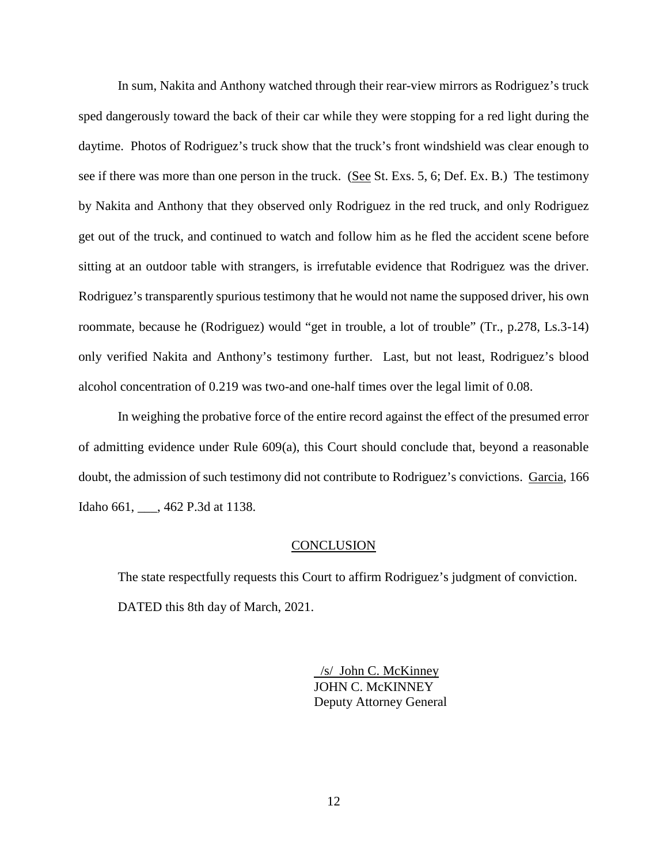In sum, Nakita and Anthony watched through their rear-view mirrors as Rodriguez's truck sped dangerously toward the back of their car while they were stopping for a red light during the daytime. Photos of Rodriguez's truck show that the truck's front windshield was clear enough to see if there was more than one person in the truck. (See St. Exs. 5, 6; Def. Ex. B.) The testimony by Nakita and Anthony that they observed only Rodriguez in the red truck, and only Rodriguez get out of the truck, and continued to watch and follow him as he fled the accident scene before sitting at an outdoor table with strangers, is irrefutable evidence that Rodriguez was the driver. Rodriguez's transparently spurious testimony that he would not name the supposed driver, his own roommate, because he (Rodriguez) would "get in trouble, a lot of trouble" (Tr., p.278, Ls.3-14) only verified Nakita and Anthony's testimony further. Last, but not least, Rodriguez's blood alcohol concentration of 0.219 was two-and one-half times over the legal limit of 0.08.

In weighing the probative force of the entire record against the effect of the presumed error of admitting evidence under Rule 609(a), this Court should conclude that, beyond a reasonable doubt, the admission of such testimony did not contribute to Rodriguez's convictions. Garcia, 166 Idaho 661, \_\_\_, 462 P.3d at 1138.

#### **CONCLUSION**

The state respectfully requests this Court to affirm Rodriguez's judgment of conviction. DATED this 8th day of March, 2021.

> /s/ John C. McKinney JOHN C. McKINNEY Deputy Attorney General